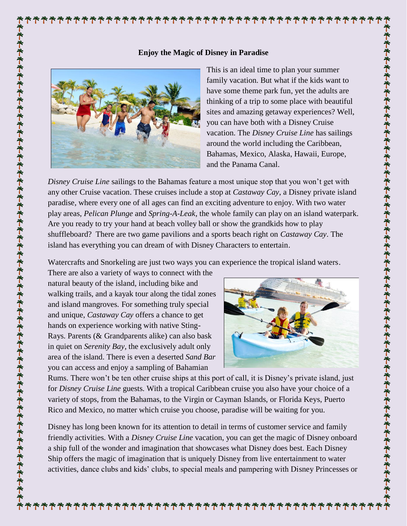

This is an ideal time to plan your summer family vacation. But what if the kids want to have some theme park fun, yet the adults are thinking of a trip to some place with beautiful sites and amazing getaway experiences? Well, you can have both with a Disney Cruise vacation. The *Disney Cruise Line* has sailings around the world including the Caribbean, Bahamas, Mexico, Alaska, Hawaii, Europe, and the Panama Canal.

*Disney Cruise Line* sailings to the Bahamas feature a most unique stop that you won't get with any other Cruise vacation. These cruises include a stop at *Castaway Cay*, a Disney private island paradise, where every one of all ages can find an exciting adventure to enjoy. With two water play areas, *Pelican Plunge* and *Spring-A-Leak*, the whole family can play on an island waterpark. Are you ready to try your hand at beach volley ball or show the grandkids how to play shuffleboard? There are two game pavilions and a sports beach right on *Castaway Cay*. The island has everything you can dream of with Disney Characters to entertain.

Watercrafts and Snorkeling are just two ways you can experience the tropical island waters.

There are also a variety of ways to connect with the natural beauty of the island, including bike and walking trails, and a kayak tour along the tidal zones and island mangroves. For something truly special and unique, *Castaway Cay* offers a chance to get hands on experience working with native Sting-Rays. Parents (& Grandparents alike) can also bask in quiet on *Serenity Bay*, the exclusively adult only area of the island. There is even a deserted *Sand Bar* you can access and enjoy a sampling of Bahamian



Rums. There won't be ten other cruise ships at this port of call, it is Disney's private island, just for *Disney Cruise Line* guests. With a tropical Caribbean cruise you also have your choice of a variety of stops, from the Bahamas, to the Virgin or Cayman Islands, or Florida Keys, Puerto Rico and Mexico, no matter which cruise you choose, paradise will be waiting for you.

Disney has long been known for its attention to detail in terms of customer service and family friendly activities. With a *Disney Cruise Line* vacation, you can get the magic of Disney onboard a ship full of the wonder and imagination that showcases what Disney does best. Each Disney Ship offers the magic of imagination that is uniquely Disney from live entertainment to water activities, dance clubs and kids' clubs, to special meals and pampering with Disney Princesses or

\*\*\*\*\*\*\*\*\*\*\*\*\*\*\*\*\*\*\*\*\*\*